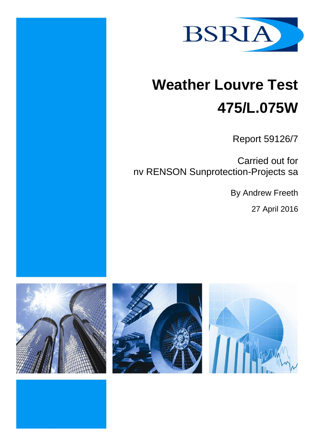

# **Weather Louvre Test 475/L.075W**

Report 59126/7

Carried out for nv RENSON Sunprotection-Projects sa

By Andrew Freeth

27 April 2016





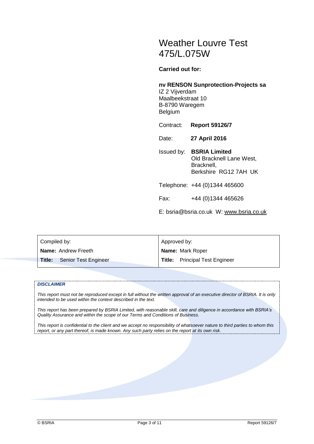# Weather Louvre Test 475/L.075W

**Carried out for:**

#### **nv RENSON Sunprotection-Projects sa**

IZ 2 Vijverdam Maalbeekstraat 10 B-8790 Waregem Belgium

Contract: **Report 59126/7**

Date: **27 April 2016**

Issued by: **BSRIA Limited** Old Bracknell Lane West, Bracknell, Berkshire RG12 7AH UK

Telephone: +44 (0)1344 465600

Fax: +44 (0)1344 465626

E: bsria@bsria.co.uk W: [www.bsria.co.uk](http://www.bsria.co.uk/)

| Compiled by:                   | Approved by:                          |  |
|--------------------------------|---------------------------------------|--|
| Name: Andrew Freeth            | Name: Mark Roper                      |  |
| Title:<br>Senior Test Engineer | <b>Title:</b> Principal Test Engineer |  |

#### *DISCLAIMER*

*This report must not be reproduced except in full without the written approval of an executive director of BSRIA. It is only intended to be used within the context described in the text.*

*This report has been prepared by BSRIA Limited, with reasonable skill, care and diligence in accordance with BSRIA's Quality Assurance and within the scope of our Terms and Conditions of Business.*

*This report is confidential to the client and we accept no responsibility of whatsoever nature to third parties to whom this report, or any part thereof, is made known. Any such party relies on the report at its own risk.*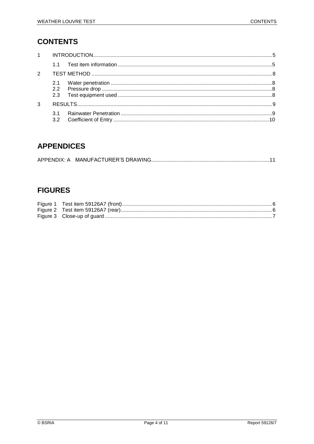# **CONTENTS**

| $1 \quad$     |            |  |
|---------------|------------|--|
|               | 11         |  |
| $\mathcal{P}$ |            |  |
|               | 2.2<br>2.3 |  |
| 3             |            |  |
|               |            |  |

# **APPENDICES**

# **FIGURES**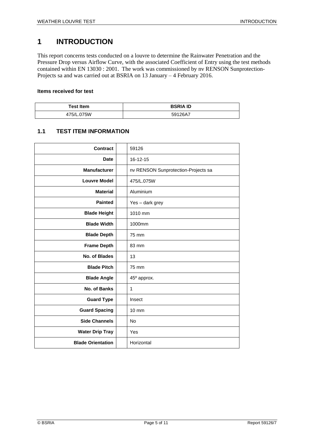# <span id="page-4-0"></span>**1 INTRODUCTION**

This report concerns tests conducted on a louvre to determine the Rainwater Penetration and the Pressure Drop versus Airflow Curve, with the associated Coefficient of Entry using the test methods contained within EN 13030 : 2001. The work was commissioned by nv RENSON Sunprotection-Projects sa and was carried out at BSRIA on 13 January – 4 February 2016.

#### **Items received for test**

| <b>Test Item</b> | <b>BSRIA ID</b> |
|------------------|-----------------|
| 475/L.075W       | 59126A7         |

#### <span id="page-4-1"></span>**1.1 TEST ITEM INFORMATION**

| Contract                 | 59126                               |
|--------------------------|-------------------------------------|
| <b>Date</b>              | 16-12-15                            |
| <b>Manufacturer</b>      | nv RENSON Sunprotection-Projects sa |
| <b>Louvre Model</b>      | 475/L.075W                          |
| <b>Material</b>          | Aluminium                           |
| <b>Painted</b>           | Yes - dark grey                     |
| <b>Blade Height</b>      | 1010 mm                             |
| <b>Blade Width</b>       | 1000mm                              |
| <b>Blade Depth</b>       | 75 mm                               |
| <b>Frame Depth</b>       | 83 mm                               |
| No. of Blades            | 13                                  |
| <b>Blade Pitch</b>       | 75 mm                               |
| <b>Blade Angle</b>       | 45° approx.                         |
| No. of Banks             | $\mathbf{1}$                        |
| <b>Guard Type</b>        | Insect                              |
| <b>Guard Spacing</b>     | $10 \text{ mm}$                     |
| <b>Side Channels</b>     | <b>No</b>                           |
| <b>Water Drip Tray</b>   | Yes                                 |
| <b>Blade Orientation</b> | Horizontal                          |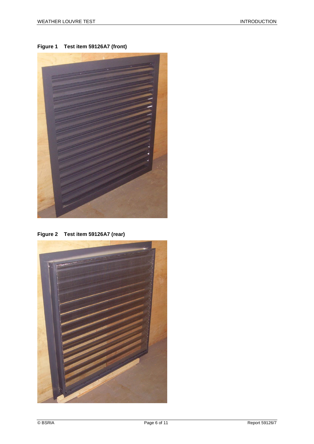<span id="page-5-0"></span>**Figure 1 Test item 59126A7 (front)**



**Figure 2 Test item 59126A7 (rear)**

<span id="page-5-1"></span>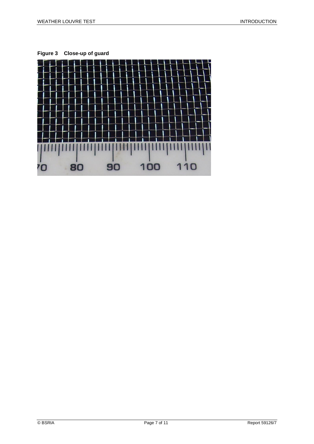<span id="page-6-0"></span>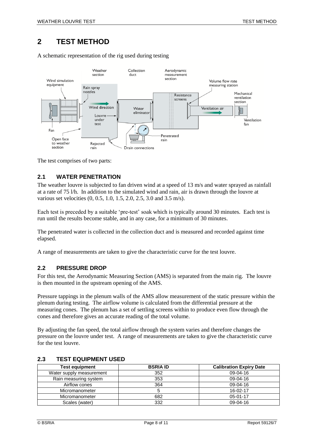# <span id="page-7-0"></span>**2 TEST METHOD**

A schematic representation of the rig used during testing



<span id="page-7-1"></span>The test comprises of two parts:

#### **2.1 WATER PENETRATION**

The weather louvre is subjected to fan driven wind at a speed of 13 m/s and water sprayed as rainfall at a rate of 75 l/h. In addition to the simulated wind and rain, air is drawn through the louvre at various set velocities (0, 0.5, 1.0, 1.5, 2.0, 2.5, 3.0 and 3.5 m/s).

Each test is preceded by a suitable 'pre-test' soak which is typically around 30 minutes. Each test is run until the results become stable, and in any case, for a minimum of 30 minutes.

The penetrated water is collected in the collection duct and is measured and recorded against time elapsed.

<span id="page-7-2"></span>A range of measurements are taken to give the characteristic curve for the test louvre.

#### **2.2 PRESSURE DROP**

For this test, the Aerodynamic Measuring Section (AMS) is separated from the main rig. The louvre is then mounted in the upstream opening of the AMS.

Pressure tappings in the plenum walls of the AMS allow measurement of the static pressure within the plenum during testing. The airflow volume is calculated from the differential pressure at the measuring cones. The plenum has a set of settling screens within to produce even flow through the cones and therefore gives an accurate reading of the total volume.

By adjusting the fan speed, the total airflow through the system varies and therefore changes the pressure on the louvre under test. A range of measurements are taken to give the characteristic curve for the test louvre.

| <b>Test equipment</b>    | <b>BSRIA ID</b> | <b>Calibration Expiry Date</b> |  |
|--------------------------|-----------------|--------------------------------|--|
| Water supply measurement | 352             | $09-04-16$                     |  |
| Rain measuring system    | 353             | $09-04-16$                     |  |
| Airflow cones            | 364             | $09-04-16$                     |  |
| Micromanometer           |                 | 16-02-17                       |  |
| Micromanometer           | 682             | $05-01-17$                     |  |
| Scales (water)           | 332             | $09-04-16$                     |  |

#### <span id="page-7-3"></span>**2.3 TEST EQUIPMENT USED**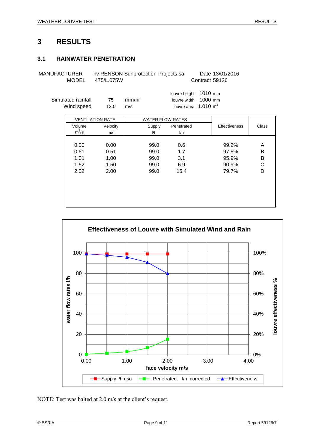### <span id="page-8-1"></span><span id="page-8-0"></span>**3.1 RAINWATER PENETRATION**

MANUFACTURER nv RENSON Sunprotection-Projects sa Date 13/01/2016 MODEL 475/L.075W Contract 59126

louvre height 1010 mm Simulated rainfall 75 mm/hr louvre width 1000 mm Wind speed  $13.0$  m/s  $100 \text{ m}^2$ 

|         | <b>VENTILATION RATE</b> | <b>WATER FLOW RATES</b> |            |                      |       |  |
|---------|-------------------------|-------------------------|------------|----------------------|-------|--|
| Volume  | Velocity                | Supply                  | Penetrated | <b>Effectiveness</b> | Class |  |
| $m^3/s$ | m/s                     | I/h                     | 1/h        |                      |       |  |
|         |                         |                         |            |                      |       |  |
| 0.00    | 0.00                    | 99.0                    | 0.6        | 99.2%                | A     |  |
| 0.51    | 0.51                    | 99.0                    | 1.7        | 97.8%                | B     |  |
| 1.01    | 1.00                    | 99.0                    | 3.1        | 95.9%                | B     |  |
| 1.52    | 1.50                    | 99.0                    | 6.9        | 90.9%                | C     |  |
| 2.02    | 2.00                    | 99.0                    | 15.4       | 79.7%                | D     |  |
|         |                         |                         |            |                      |       |  |
|         |                         |                         |            |                      |       |  |
|         |                         |                         |            |                      |       |  |
|         |                         |                         |            |                      |       |  |
|         |                         |                         |            |                      |       |  |



NOTE: Test was halted at 2.0 m/s at the client's request.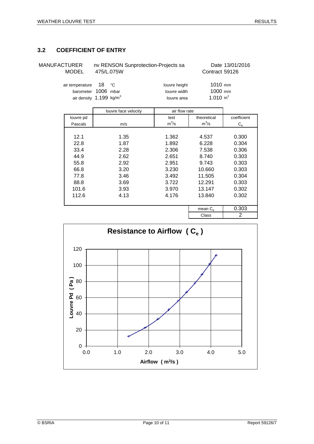#### <span id="page-9-0"></span>**3.2 COEFFICIENT OF ENTRY**

MANUFACTURER nv RENSON Sunprotection-Projects sa Date 13/01/2016 MODEL 475/L.075W Contract 59126 air temperature 18 °C louvre height 1010 mm barometer 1006 mbar louvre width 1000 mm air density 1.199 kg/m<sup>3</sup> louvre area 1.010  $m^2$ 

|           | louvre face velocity | air flow rate |                   |             |
|-----------|----------------------|---------------|-------------------|-------------|
| louvre pd |                      | test          | theoretical       | coefficient |
| Pascals   | m/s                  | $m^3/s$       | $m^3/s$           | $C_{e}$     |
|           |                      |               |                   |             |
| 12.1      | 1.35                 | 1.362         | 4.537             | 0.300       |
| 22.8      | 1.87                 | 1.892         | 6.228             | 0.304       |
| 33.4      | 2.28                 | 2.306         | 7.538             | 0.306       |
| 44.9      | 2.62                 | 2.651         | 8.740             | 0.303       |
| 55.8      | 2.92                 | 2.951         | 9.743             | 0.303       |
| 66.8      | 3.20                 | 3.230         | 10.660            | 0.303       |
| 77.8      | 3.46                 | 3.492         | 11.505            | 0.304       |
| 88.8      | 3.69                 | 3.722         | 12.291            | 0.303       |
| 101.6     | 3.93                 | 3.970         | 13.147            | 0.302       |
| 112.6     | 4.13                 |               | 13.840            | 0.302       |
|           |                      |               |                   |             |
|           |                      |               | mean $C_{\alpha}$ | 0.303       |
|           |                      |               | Class             | 2           |